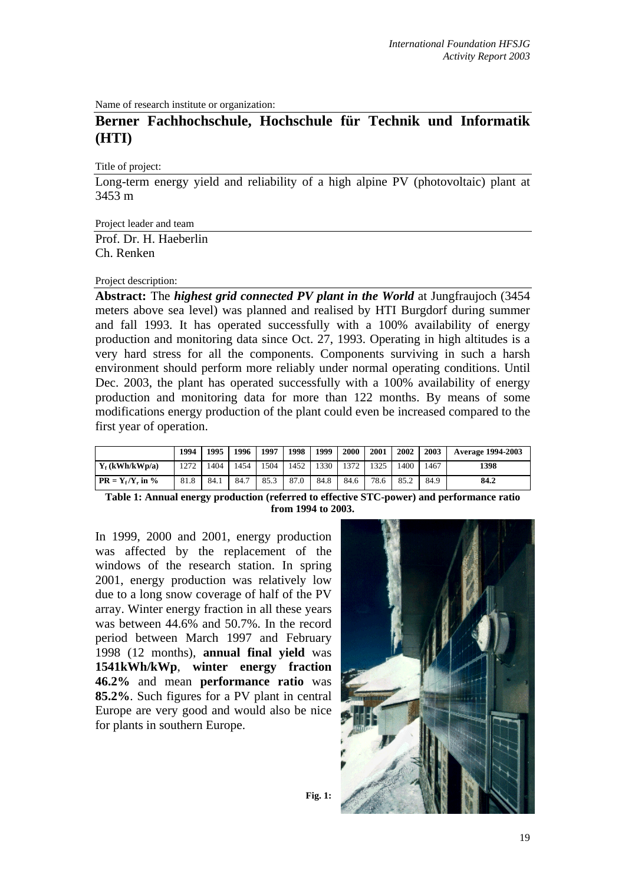Name of research institute or organization:

# **Berner Fachhochschule, Hochschule für Technik und Informatik (HTI)**

Title of project:

Long-term energy yield and reliability of a high alpine PV (photovoltaic) plant at 3453 m

Project leader and team

Prof. Dr. H. Haeberlin Ch. Renken

#### Project description:

**Abstract:** The *highest grid connected PV plant in the World* at Jungfraujoch (3454 meters above sea level) was planned and realised by HTI Burgdorf during summer and fall 1993. It has operated successfully with a 100% availability of energy production and monitoring data since Oct. 27, 1993. Operating in high altitudes is a very hard stress for all the components. Components surviving in such a harsh environment should perform more reliably under normal operating conditions. Until Dec. 2003, the plant has operated successfully with a 100% availability of energy production and monitoring data for more than 122 months. By means of some modifications energy production of the plant could even be increased compared to the first year of operation.

|                     | 1994 | 1995 l | 1996 | 1997 | 1998 | 1999 | 2000 | 2001 | 2002 | 2003 | <b>Average 1994-2003</b> |
|---------------------|------|--------|------|------|------|------|------|------|------|------|--------------------------|
| $Y_f$ (kWh/kWp/a)   | 1272 | 1404   | 1454 | 1504 | 1452 | 1330 | 1372 | 1325 | 1400 | 1467 | 1398                     |
| $PR = Y_f/Y_r$ in % | 81.8 | 84.1   | 84.7 | 85.3 | 87.0 | 84.8 | 84.6 | 78.6 | 85.2 | 84.9 | 84.2                     |

**Table 1: Annual energy production (referred to effective STC-power) and performance ratio from 1994 to 2003.** 

In 1999, 2000 and 2001, energy production was affected by the replacement of the windows of the research station. In spring 2001, energy production was relatively low due to a long snow coverage of half of the PV array. Winter energy fraction in all these years was between 44.6% and 50.7%. In the record period between March 1997 and February 1998 (12 months), **annual final yield** was **1541kWh/kWp**, **winter energy fraction 46.2%** and mean **performance ratio** was **85.2%**. Such figures for a PV plant in central Europe are very good and would also be nice for plants in southern Europe.

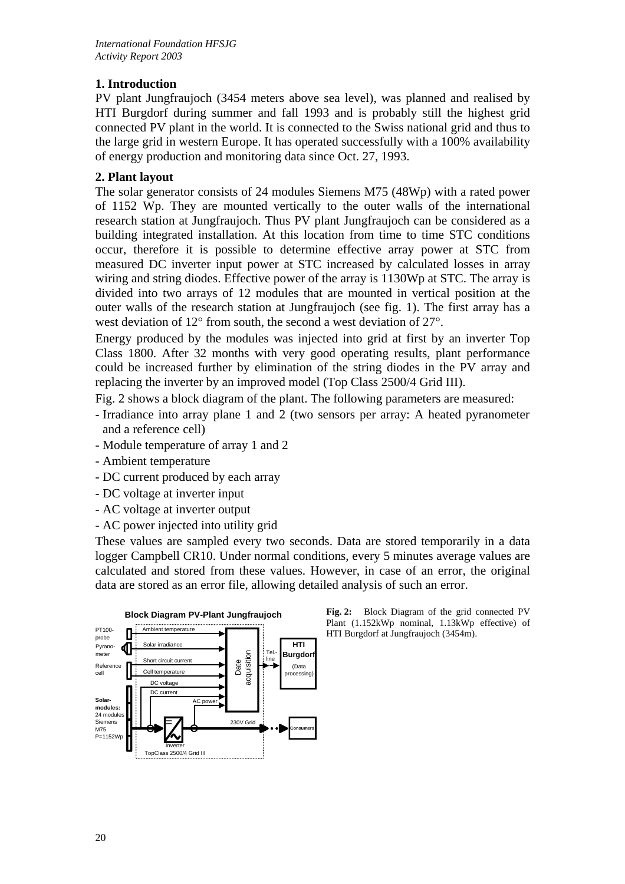## **1. Introduction**

PV plant Jungfraujoch (3454 meters above sea level), was planned and realised by HTI Burgdorf during summer and fall 1993 and is probably still the highest grid connected PV plant in the world. It is connected to the Swiss national grid and thus to the large grid in western Europe. It has operated successfully with a 100% availability of energy production and monitoring data since Oct. 27, 1993.

#### **2. Plant layout**

The solar generator consists of 24 modules Siemens M75 (48Wp) with a rated power of 1152 Wp. They are mounted vertically to the outer walls of the international research station at Jungfraujoch. Thus PV plant Jungfraujoch can be considered as a building integrated installation. At this location from time to time STC conditions occur, therefore it is possible to determine effective array power at STC from measured DC inverter input power at STC increased by calculated losses in array wiring and string diodes. Effective power of the array is 1130Wp at STC. The array is divided into two arrays of 12 modules that are mounted in vertical position at the outer walls of the research station at Jungfraujoch (see fig. 1). The first array has a west deviation of 12° from south, the second a west deviation of 27°.

Energy produced by the modules was injected into grid at first by an inverter Top Class 1800. After 32 months with very good operating results, plant performance could be increased further by elimination of the string diodes in the PV array and replacing the inverter by an improved model (Top Class 2500/4 Grid III).

Fig. 2 shows a block diagram of the plant. The following parameters are measured:

- Irradiance into array plane 1 and 2 (two sensors per array: A heated pyranometer and a reference cell)
- Module temperature of array 1 and 2
- Ambient temperature
- DC current produced by each array
- DC voltage at inverter input
- AC voltage at inverter output
- AC power injected into utility grid

These values are sampled every two seconds. Data are stored temporarily in a data logger Campbell CR10. Under normal conditions, every 5 minutes average values are calculated and stored from these values. However, in case of an error, the original data are stored as an error file, allowing detailed analysis of such an error.



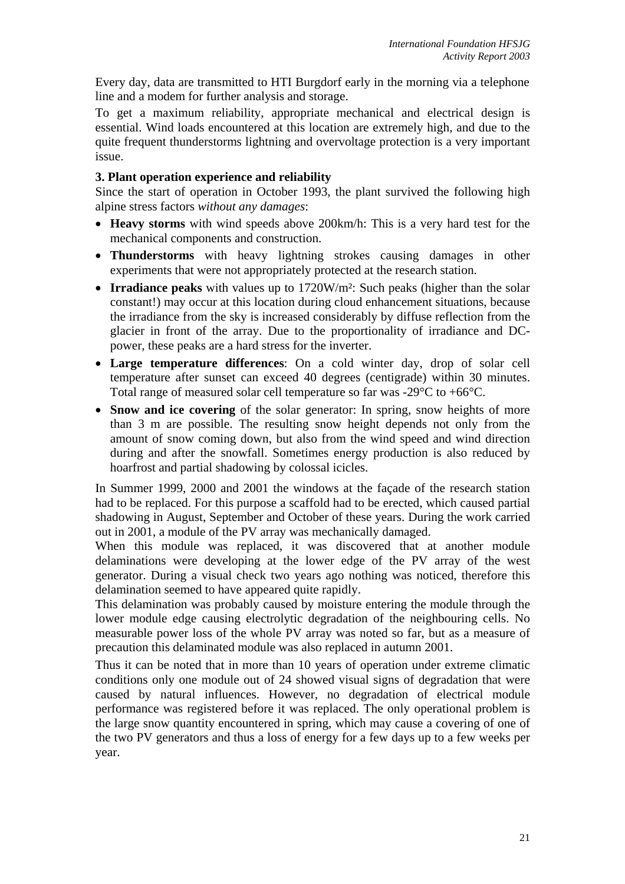Every day, data are transmitted to HTI Burgdorf early in the morning via a telephone line and a modem for further analysis and storage.

To get a maximum reliability, appropriate mechanical and electrical design is essential. Wind loads encountered at this location are extremely high, and due to the quite frequent thunderstorms lightning and overvoltage protection is a very important issue.

#### **3. Plant operation experience and reliability**

Since the start of operation in October 1993, the plant survived the following high alpine stress factors *without any damages*:

- **Heavy storms** with wind speeds above 200km/h: This is a very hard test for the mechanical components and construction.
- **Thunderstorms** with heavy lightning strokes causing damages in other experiments that were not appropriately protected at the research station.
- **Irradiance peaks** with values up to 1720W/m²: Such peaks (higher than the solar constant!) may occur at this location during cloud enhancement situations, because the irradiance from the sky is increased considerably by diffuse reflection from the glacier in front of the array. Due to the proportionality of irradiance and DCpower, these peaks are a hard stress for the inverter.
- **Large temperature differences**: On a cold winter day, drop of solar cell temperature after sunset can exceed 40 degrees (centigrade) within 30 minutes. Total range of measured solar cell temperature so far was  $-29^{\circ}$ C to  $+66^{\circ}$ C.
- **Snow and ice covering** of the solar generator: In spring, snow heights of more than 3 m are possible. The resulting snow height depends not only from the amount of snow coming down, but also from the wind speed and wind direction during and after the snowfall. Sometimes energy production is also reduced by hoarfrost and partial shadowing by colossal icicles.

In Summer 1999, 2000 and 2001 the windows at the façade of the research station had to be replaced. For this purpose a scaffold had to be erected, which caused partial shadowing in August, September and October of these years. During the work carried out in 2001, a module of the PV array was mechanically damaged.

When this module was replaced, it was discovered that at another module delaminations were developing at the lower edge of the PV array of the west generator. During a visual check two years ago nothing was noticed, therefore this delamination seemed to have appeared quite rapidly.

This delamination was probably caused by moisture entering the module through the lower module edge causing electrolytic degradation of the neighbouring cells. No measurable power loss of the whole PV array was noted so far, but as a measure of precaution this delaminated module was also replaced in autumn 2001.

Thus it can be noted that in more than 10 years of operation under extreme climatic conditions only one module out of 24 showed visual signs of degradation that were caused by natural influences. However, no degradation of electrical module performance was registered before it was replaced. The only operational problem is the large snow quantity encountered in spring, which may cause a covering of one of the two PV generators and thus a loss of energy for a few days up to a few weeks per year.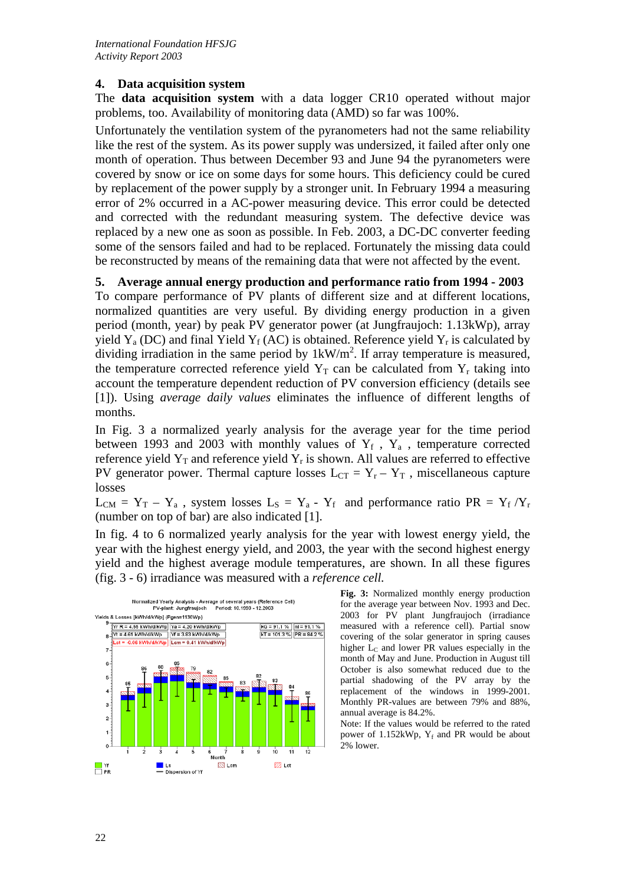#### **4. Data acquisition system**

The **data acquisition system** with a data logger CR10 operated without major problems, too. Availability of monitoring data (AMD) so far was 100%.

Unfortunately the ventilation system of the pyranometers had not the same reliability like the rest of the system. As its power supply was undersized, it failed after only one month of operation. Thus between December 93 and June 94 the pyranometers were covered by snow or ice on some days for some hours. This deficiency could be cured by replacement of the power supply by a stronger unit. In February 1994 a measuring error of 2% occurred in a AC-power measuring device. This error could be detected and corrected with the redundant measuring system. The defective device was replaced by a new one as soon as possible. In Feb. 2003, a DC-DC converter feeding some of the sensors failed and had to be replaced. Fortunately the missing data could be reconstructed by means of the remaining data that were not affected by the event.

#### **5. Average annual energy production and performance ratio from 1994 - 2003**

To compare performance of PV plants of different size and at different locations, normalized quantities are very useful. By dividing energy production in a given period (month, year) by peak PV generator power (at Jungfraujoch: 1.13kWp), array yield  $Y_a$  (DC) and final Yield  $Y_f$  (AC) is obtained. Reference yield  $Y_r$  is calculated by dividing irradiation in the same period by  $1kW/m<sup>2</sup>$ . If array temperature is measured, the temperature corrected reference yield  $Y_T$  can be calculated from  $Y_r$  taking into account the temperature dependent reduction of PV conversion efficiency (details see [1]). Using *average daily values* eliminates the influence of different lengths of months.

In Fig. 3 a normalized yearly analysis for the average year for the time period between 1993 and 2003 with monthly values of  $Y_f$ ,  $Y_a$ , temperature corrected reference yield  $Y_T$  and reference yield  $Y_T$  is shown. All values are referred to effective PV generator power. Thermal capture losses  $L_{CT} = Y_r - Y_T$ , miscellaneous capture losses

 $L_{CM} = Y_T - Y_a$ , system losses  $L_S = Y_a - Y_f$  and performance ratio PR =  $Y_f/Y_r$ (number on top of bar) are also indicated [1].

In fig. 4 to 6 normalized yearly analysis for the year with lowest energy yield, the year with the highest energy yield, and 2003, the year with the second highest energy yield and the highest average module temperatures, are shown. In all these figures (fig. 3 - 6) irradiance was measured with a *reference cell.* 



**Fig. 3:** Normalized monthly energy production for the average year between Nov. 1993 and Dec. 2003 for PV plant Jungfraujoch (irradiance measured with a reference cell). Partial snow covering of the solar generator in spring causes higher  $L<sub>C</sub>$  and lower PR values especially in the month of May and June. Production in August till October is also somewhat reduced due to the partial shadowing of the PV array by the replacement of the windows in 1999-2001. Monthly PR-values are between 79% and 88%, annual average is 84.2%.

Note: If the values would be referred to the rated power of  $1.152kWp$ ,  $Y_f$  and PR would be about 2% lower.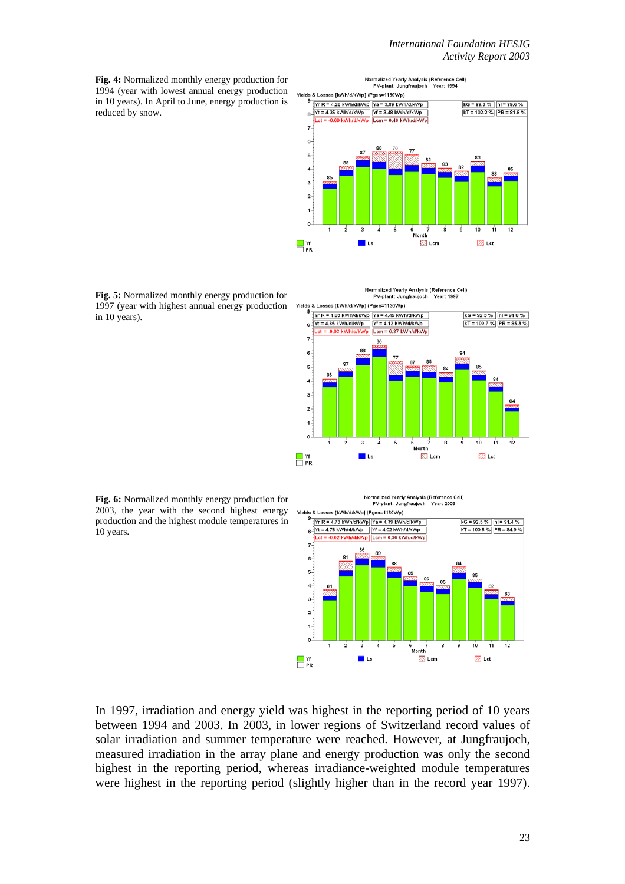**Fig. 4:** Normalized monthly energy production for 1994 (year with lowest annual energy production in 10 years). In April to June, energy production is reduced by snow.



**Fig. 5:** Normalized monthly energy production for 1997 (year with highest annual energy production in 10 years).

Normalized Yearly Analysis (Reference Cell) PV-plant: Jungfraujoch Year: 1997



**Fig. 6:** Normalized monthly energy production for 2003, the year with the second highest energy production and the highest module temperatures in 10 years.





In 1997, irradiation and energy yield was highest in the reporting period of 10 years between 1994 and 2003. In 2003, in lower regions of Switzerland record values of solar irradiation and summer temperature were reached. However, at Jungfraujoch, measured irradiation in the array plane and energy production was only the second highest in the reporting period, whereas irradiance-weighted module temperatures were highest in the reporting period (slightly higher than in the record year 1997).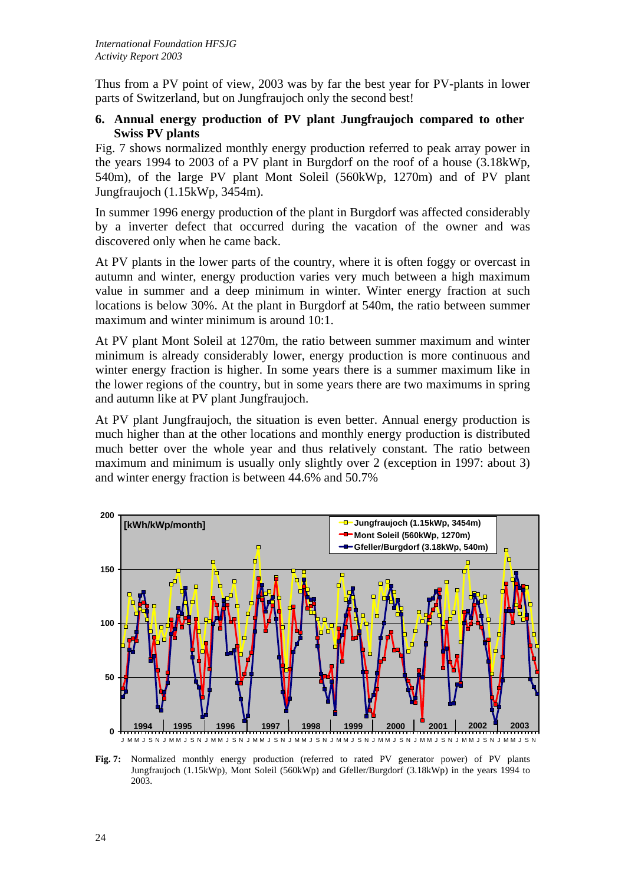Thus from a PV point of view, 2003 was by far the best year for PV-plants in lower parts of Switzerland, but on Jungfraujoch only the second best!

#### **6. Annual energy production of PV plant Jungfraujoch compared to other Swiss PV plants**

Fig. 7 shows normalized monthly energy production referred to peak array power in the years 1994 to 2003 of a PV plant in Burgdorf on the roof of a house (3.18kWp, 540m), of the large PV plant Mont Soleil (560kWp, 1270m) and of PV plant Jungfraujoch (1.15kWp, 3454m).

In summer 1996 energy production of the plant in Burgdorf was affected considerably by a inverter defect that occurred during the vacation of the owner and was discovered only when he came back.

At PV plants in the lower parts of the country, where it is often foggy or overcast in autumn and winter, energy production varies very much between a high maximum value in summer and a deep minimum in winter. Winter energy fraction at such locations is below 30%. At the plant in Burgdorf at 540m, the ratio between summer maximum and winter minimum is around 10:1.

At PV plant Mont Soleil at 1270m, the ratio between summer maximum and winter minimum is already considerably lower, energy production is more continuous and winter energy fraction is higher. In some years there is a summer maximum like in the lower regions of the country, but in some years there are two maximums in spring and autumn like at PV plant Jungfraujoch.

At PV plant Jungfraujoch, the situation is even better. Annual energy production is much higher than at the other locations and monthly energy production is distributed much better over the whole year and thus relatively constant. The ratio between maximum and minimum is usually only slightly over 2 (exception in 1997: about 3) and winter energy fraction is between 44.6% and 50.7%



**Fig. 7:** Normalized monthly energy production (referred to rated PV generator power) of PV plants Jungfraujoch (1.15kWp), Mont Soleil (560kWp) and Gfeller/Burgdorf (3.18kWp) in the years 1994 to 2003.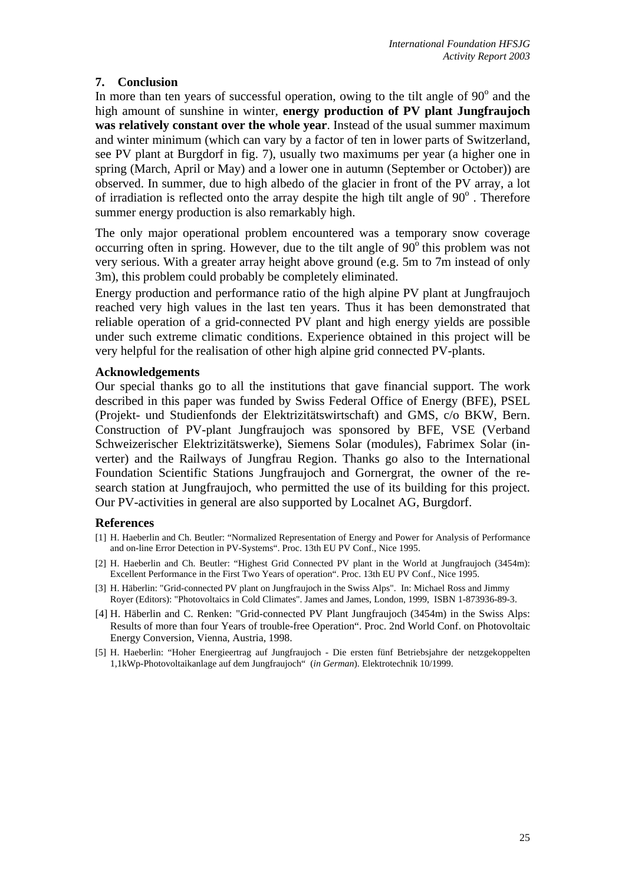### **7. Conclusion**

In more than ten years of successful operation, owing to the tilt angle of  $90^\circ$  and the high amount of sunshine in winter, **energy production of PV plant Jungfraujoch was relatively constant over the whole year**. Instead of the usual summer maximum and winter minimum (which can vary by a factor of ten in lower parts of Switzerland, see PV plant at Burgdorf in fig. 7), usually two maximums per year (a higher one in spring (March, April or May) and a lower one in autumn (September or October)) are observed. In summer, due to high albedo of the glacier in front of the PV array, a lot of irradiation is reflected onto the array despite the high tilt angle of  $90^\circ$  . Therefore summer energy production is also remarkably high.

The only major operational problem encountered was a temporary snow coverage occurring often in spring. However, due to the tilt angle of  $90^\circ$  this problem was not very serious. With a greater array height above ground (e.g. 5m to 7m instead of only 3m), this problem could probably be completely eliminated.

Energy production and performance ratio of the high alpine PV plant at Jungfraujoch reached very high values in the last ten years. Thus it has been demonstrated that reliable operation of a grid-connected PV plant and high energy yields are possible under such extreme climatic conditions. Experience obtained in this project will be very helpful for the realisation of other high alpine grid connected PV-plants.

#### **Acknowledgements**

Our special thanks go to all the institutions that gave financial support. The work described in this paper was funded by Swiss Federal Office of Energy (BFE), PSEL (Projekt- und Studienfonds der Elektrizitätswirtschaft) and GMS, c/o BKW, Bern. Construction of PV-plant Jungfraujoch was sponsored by BFE, VSE (Verband Schweizerischer Elektrizitätswerke), Siemens Solar (modules), Fabrimex Solar (inverter) and the Railways of Jungfrau Region. Thanks go also to the International Foundation Scientific Stations Jungfraujoch and Gornergrat, the owner of the research station at Jungfraujoch, who permitted the use of its building for this project. Our PV-activities in general are also supported by Localnet AG, Burgdorf.

#### **References**

- [1] H. Haeberlin and Ch. Beutler: "Normalized Representation of Energy and Power for Analysis of Performance and on-line Error Detection in PV-Systems". Proc. 13th EU PV Conf., Nice 1995.
- [2] H. Haeberlin and Ch. Beutler: "Highest Grid Connected PV plant in the World at Jungfraujoch (3454m): Excellent Performance in the First Two Years of operation". Proc. 13th EU PV Conf., Nice 1995.
- [3] H. Häberlin: "Grid-connected PV plant on Jungfraujoch in the Swiss Alps". In: Michael Ross and Jimmy Royer (Editors): "Photovoltaics in Cold Climates". James and James, London, 1999, ISBN 1-873936-89-3.
- [4] H. Häberlin and C. Renken: "Grid-connected PV Plant Jungfraujoch (3454m) in the Swiss Alps: Results of more than four Years of trouble-free Operation". Proc. 2nd World Conf. on Photovoltaic Energy Conversion, Vienna, Austria, 1998.
- [5] H. Haeberlin: "Hoher Energieertrag auf Jungfraujoch Die ersten fünf Betriebsjahre der netzgekoppelten 1,1kWp-Photovoltaikanlage auf dem Jungfraujoch" (*in German*). Elektrotechnik 10/1999.